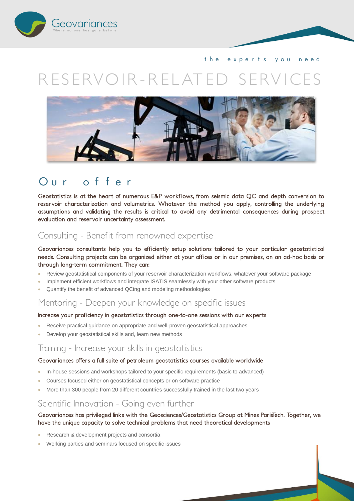

the experts you need

# *R ES ERVO IR - R EL AT ED S ERV I CES*



# Our offer

**Geostatistics is at the heart of numerous E&P workflows, from seismic data QC and depth conversion to reservoir characterization and volumetrics. Whatever the method you apply, controlling the underlying assumptions and validating the results is critical to avoid any detrimental consequences during prospect evaluation and reservoir uncertainty assessment.** 

# *Consulting - Benefit from renowned expertise*

**Geovariances consultants help you to efficiently setup solutions tailored to your particular geostatistical needs. Consulting projects can be organized either at your offices or in our premises, on an ad-hoc basis or through long-term commitment. They can:**

- Review geostatistical components of your reservoir characterization workflows, whatever your software package
- Implement efficient workflows and integrate ISATIS seamlessly with your other software products
- Quantify the benefit of advanced QCing and modeling methodologies

### *Mentoring - Deepen your knowledge on specific issues*

#### **Increase your proficiency in geostatistics through one-to-one sessions with our experts**

- Receive practical guidance on appropriate and well-proven geostatistical approaches
- Develop your geostatistical skills and, learn new methods

### *Training - Increase your skills in geostatistics*

#### **Geovariances offers a full suite of petroleum geostatistics courses available worldwide**

- In-house sessions and workshops tailored to your specific requirements (basic to advanced)
- Courses focused either on geostatistical concepts or on software practice
- More than 300 people from 20 different countries successfully trained in the last two years

# *Scientific Innovation - Going even further*

#### **Geovariances has privileged links with the Geosciences/Geostatistics Group at Mines ParisTech. Together, we have the unique capacity to solve technical problems that need theoretical developments**

- Research & development projects and consortia
- Working parties and seminars focused on specific issues